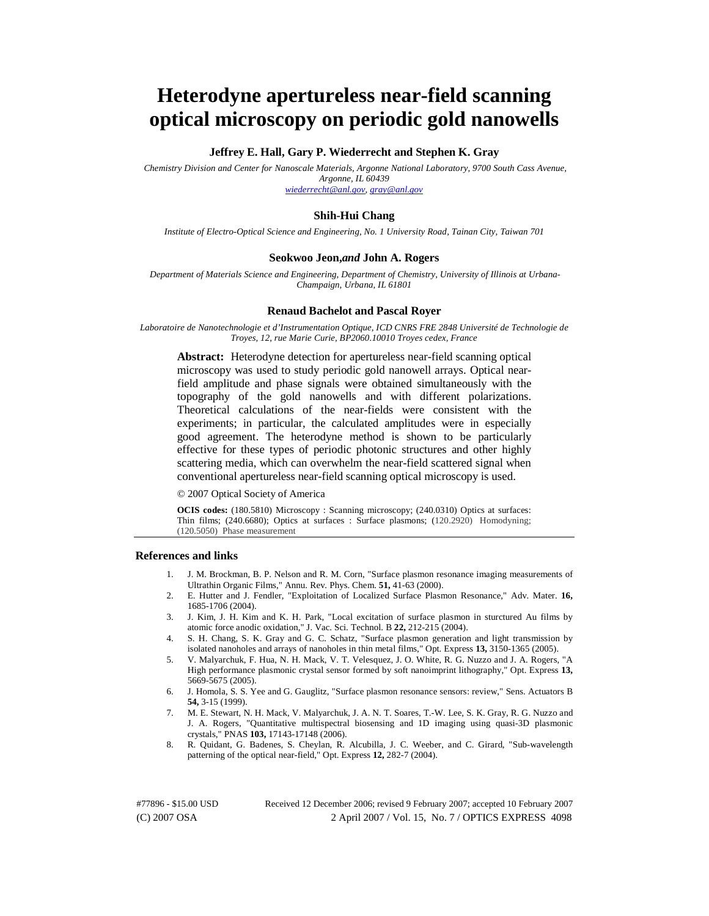# **Heterodyne apertureless near-field scanning optical microscopy on periodic gold nanowells**

## **Jeffrey E. Hall, Gary P. Wiederrecht and Stephen K. Gray**

 *Chemistry Division and Center for Nanoscale Materials, Argonne National Laboratory, 9700 South Cass Avenue, Argonne, IL 60439 wiederrecht@anl.gov, gray@anl.gov*

### **Shih-Hui Chang**

*Institute of Electro-Optical Science and Engineering, No. 1 University Road, Tainan City, Taiwan 701*

#### **Seokwoo Jeon,***and* **John A. Rogers**

 *Department of Materials Science and Engineering, Department of Chemistry, University of Illinois at Urbana-Champaign, Urbana, IL 61801* 

## **Renaud Bachelot and Pascal Royer**

*Laboratoire de Nanotechnologie et d'Instrumentation Optique, ICD CNRS FRE 2848 Université de Technologie de Troyes, 12, rue Marie Curie, BP2060.10010 Troyes cedex, France* 

**Abstract:** Heterodyne detection for apertureless near-field scanning optical microscopy was used to study periodic gold nanowell arrays. Optical nearfield amplitude and phase signals were obtained simultaneously with the topography of the gold nanowells and with different polarizations. Theoretical calculations of the near-fields were consistent with the experiments; in particular, the calculated amplitudes were in especially good agreement. The heterodyne method is shown to be particularly effective for these types of periodic photonic structures and other highly scattering media, which can overwhelm the near-field scattered signal when conventional apertureless near-field scanning optical microscopy is used.

#### © 2007 Optical Society of America

**OCIS codes:** (180.5810) Microscopy : Scanning microscopy; (240.0310) Optics at surfaces: Thin films; (240.6680); Optics at surfaces : Surface plasmons; (120.2920) Homodyning; (120.5050) Phase measurement

## **References and links**

- 1. J. M. Brockman, B. P. Nelson and R. M. Corn, "Surface plasmon resonance imaging measurements of Ultrathin Organic Films," Annu. Rev. Phys. Chem. **51,** 41-63 (2000).
- 2. E. Hutter and J. Fendler, "Exploitation of Localized Surface Plasmon Resonance," Adv. Mater. **16,**  1685-1706 (2004).
- 3. J. Kim, J. H. Kim and K. H. Park, "Local excitation of surface plasmon in sturctured Au films by atomic force anodic oxidation," J. Vac. Sci. Technol. B **22,** 212-215 (2004).
- 4. S. H. Chang, S. K. Gray and G. C. Schatz, "Surface plasmon generation and light transmission by isolated nanoholes and arrays of nanoholes in thin metal films," Opt. Express **13,** 3150-1365 (2005).
- 5. V. Malyarchuk, F. Hua, N. H. Mack, V. T. Velesquez, J. O. White, R. G. Nuzzo and J. A. Rogers, "A High performance plasmonic crystal sensor formed by soft nanoimprint lithography," Opt. Express **13,**  5669-5675 (2005).
- 6. J. Homola, S. S. Yee and G. Gauglitz, "Surface plasmon resonance sensors: review," Sens. Actuators B **54,** 3-15 (1999).
- 7. M. E. Stewart, N. H. Mack, V. Malyarchuk, J. A. N. T. Soares, T.-W. Lee, S. K. Gray, R. G. Nuzzo and J. A. Rogers, "Quantitative multispectral biosensing and 1D imaging using quasi-3D plasmonic crystals," PNAS **103,** 17143-17148 (2006).
- 8. R. Quidant, G. Badenes, S. Cheylan, R. Alcubilla, J. C. Weeber, and C. Girard, "Sub-wavelength patterning of the optical near-field," Opt. Express **12,** 282-7 (2004).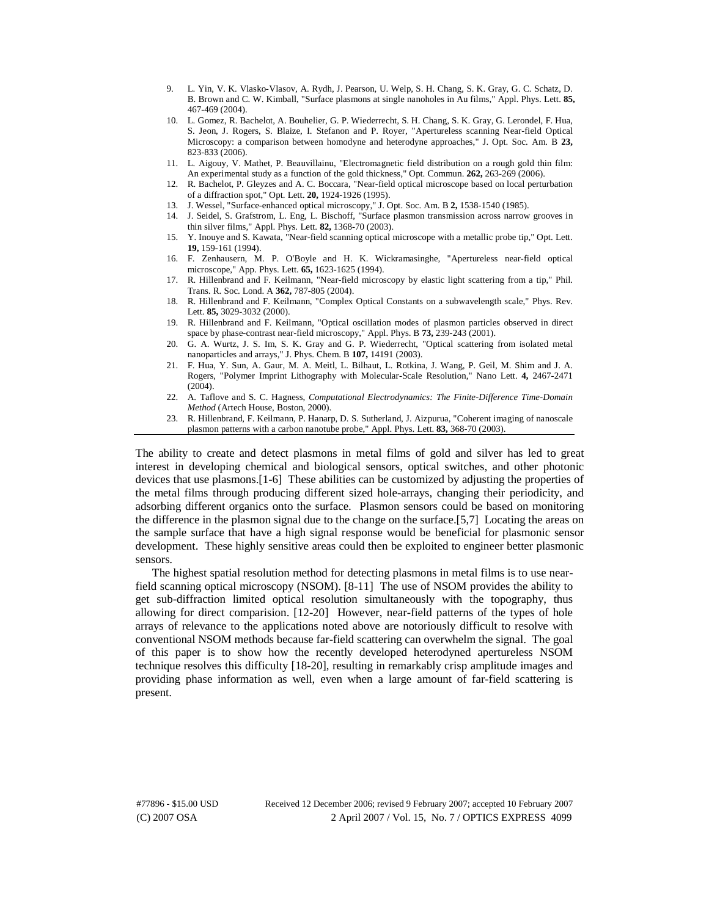- 9. L. Yin, V. K. Vlasko-Vlasov, A. Rydh, J. Pearson, U. Welp, S. H. Chang, S. K. Gray, G. C. Schatz, D. B. Brown and C. W. Kimball, "Surface plasmons at single nanoholes in Au films," Appl. Phys. Lett. **85,**  467-469 (2004).
- 10. L. Gomez, R. Bachelot, A. Bouhelier, G. P. Wiederrecht, S. H. Chang, S. K. Gray, G. Lerondel, F. Hua, S. Jeon, J. Rogers, S. Blaize, I. Stefanon and P. Royer, "Apertureless scanning Near-field Optical Microscopy: a comparison between homodyne and heterodyne approaches," J. Opt. Soc. Am. B **23,**  823-833 (2006).
- 11. L. Aigouy, V. Mathet, P. Beauvillainu, "Electromagnetic field distribution on a rough gold thin film: An experimental study as a function of the gold thickness," Opt. Commun. **262,** 263-269 (2006).
- 12. R. Bachelot, P. Gleyzes and A. C. Boccara, "Near-field optical microscope based on local perturbation of a diffraction spot," Opt. Lett. **20,** 1924-1926 (1995).
- 13. J. Wessel, "Surface-enhanced optical microscopy," J. Opt. Soc. Am. B **2,** 1538-1540 (1985).
- 14. J. Seidel, S. Grafstrom, L. Eng, L. Bischoff, "Surface plasmon transmission across narrow grooves in thin silver films," Appl. Phys. Lett. **82,** 1368-70 (2003).
- 15. Y. Inouye and S. Kawata, "Near-field scanning optical microscope with a metallic probe tip," Opt. Lett. **19,** 159-161 (1994).
- 16. F. Zenhausern, M. P. O'Boyle and H. K. Wickramasinghe, "Apertureless near-field optical microscope," App. Phys. Lett. **65,** 1623-1625 (1994).
- 17. R. Hillenbrand and F. Keilmann, "Near-field microscopy by elastic light scattering from a tip," Phil. Trans. R. Soc. Lond. A **362,** 787-805 (2004).
- 18. R. Hillenbrand and F. Keilmann, "Complex Optical Constants on a subwavelength scale," Phys. Rev. Lett. **85,** 3029-3032 (2000).
- 19. R. Hillenbrand and F. Keilmann, "Optical oscillation modes of plasmon particles observed in direct space by phase-contrast near-field microscopy," Appl. Phys. B **73,** 239-243 (2001).
- 20. G. A. Wurtz, J. S. Im, S. K. Gray and G. P. Wiederrecht, "Optical scattering from isolated metal nanoparticles and arrays," J. Phys. Chem. B **107,** 14191 (2003).
- 21. F. Hua, Y. Sun, A. Gaur, M. A. Meitl, L. Bilhaut, L. Rotkina, J. Wang, P. Geil, M. Shim and J. A. Rogers, "Polymer Imprint Lithography with Molecular-Scale Resolution," Nano Lett. **4,** 2467-2471 (2004).
- 22. A. Taflove and S. C. Hagness, *Computational Electrodynamics: The Finite-Difference Time-Domain Method* (Artech House, Boston, 2000).
- 23. R. Hillenbrand, F. Keilmann, P. Hanarp, D. S. Sutherland, J. Aizpurua, "Coherent imaging of nanoscale plasmon patterns with a carbon nanotube probe," Appl. Phys. Lett. **83,** 368-70 (2003).

The ability to create and detect plasmons in metal films of gold and silver has led to great interest in developing chemical and biological sensors, optical switches, and other photonic devices that use plasmons.[1-6] These abilities can be customized by adjusting the properties of the metal films through producing different sized hole-arrays, changing their periodicity, and adsorbing different organics onto the surface. Plasmon sensors could be based on monitoring the difference in the plasmon signal due to the change on the surface.[5,7] Locating the areas on the sample surface that have a high signal response would be beneficial for plasmonic sensor development. These highly sensitive areas could then be exploited to engineer better plasmonic sensors.

The highest spatial resolution method for detecting plasmons in metal films is to use nearfield scanning optical microscopy (NSOM). [8-11] The use of NSOM provides the ability to get sub-diffraction limited optical resolution simultaneously with the topography, thus allowing for direct comparision. [12-20] However, near-field patterns of the types of hole arrays of relevance to the applications noted above are notoriously difficult to resolve with conventional NSOM methods because far-field scattering can overwhelm the signal. The goal of this paper is to show how the recently developed heterodyned apertureless NSOM technique resolves this difficulty [18-20], resulting in remarkably crisp amplitude images and providing phase information as well, even when a large amount of far-field scattering is present.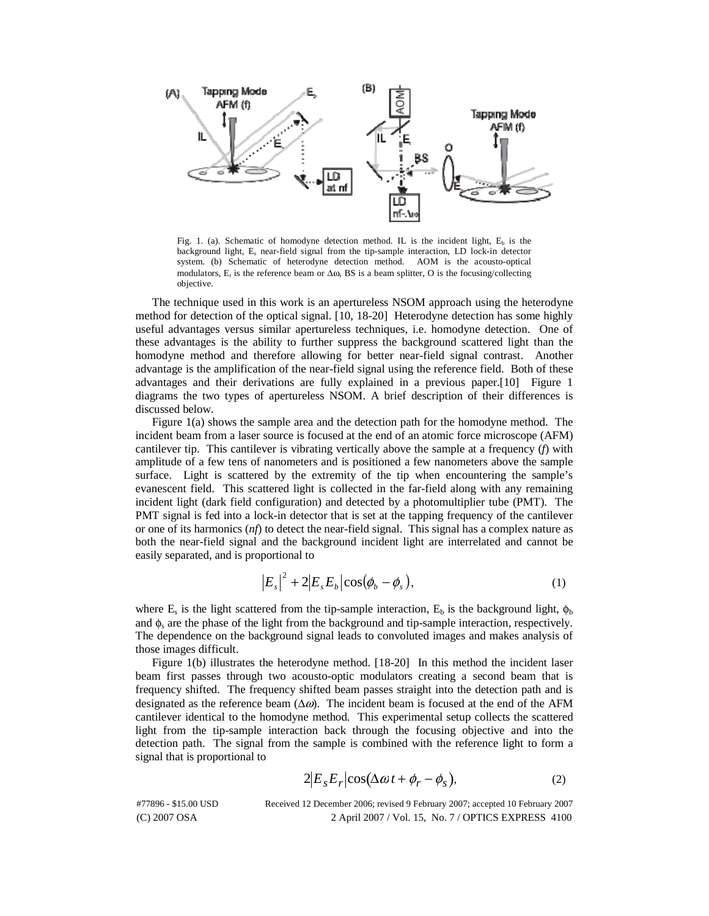

Fig. 1. (a). Schematic of homodyne detection method. IL is the incident light,  $E_b$  is the background light, Es near-field signal from the tip-sample interaction, LD lock-in detector system. (b) Schematic of heterodyne detection method. AOM is the acousto-optical modulators,  $E_r$  is the reference beam or  $\Delta\omega$ , BS is a beam splitter, O is the focusing/collecting objective.

The technique used in this work is an apertureless NSOM approach using the heterodyne method for detection of the optical signal. [10, 18-20] Heterodyne detection has some highly useful advantages versus similar apertureless techniques, i.e. homodyne detection. One of these advantages is the ability to further suppress the background scattered light than the homodyne method and therefore allowing for better near-field signal contrast. Another advantage is the amplification of the near-field signal using the reference field. Both of these advantages and their derivations are fully explained in a previous paper.[10] Figure 1 diagrams the two types of apertureless NSOM. A brief description of their differences is discussed below.

Figure 1(a) shows the sample area and the detection path for the homodyne method. The incident beam from a laser source is focused at the end of an atomic force microscope (AFM) cantilever tip. This cantilever is vibrating vertically above the sample at a frequency (*f*) with amplitude of a few tens of nanometers and is positioned a few nanometers above the sample surface. Light is scattered by the extremity of the tip when encountering the sample's evanescent field. This scattered light is collected in the far-field along with any remaining incident light (dark field configuration) and detected by a photomultiplier tube (PMT). The PMT signal is fed into a lock-in detector that is set at the tapping frequency of the cantilever or one of its harmonics (*nf*) to detect the near-field signal. This signal has a complex nature as both the near-field signal and the background incident light are interrelated and cannot be easily separated, and is proportional to

$$
\left|E_s\right|^2 + 2\left|E_s E_b\right| \cos(\phi_b - \phi_s),\tag{1}
$$

where  $E_s$  is the light scattered from the tip-sample interaction,  $E_b$  is the background light,  $\phi_b$ and  $\phi_s$  are the phase of the light from the background and tip-sample interaction, respectively. The dependence on the background signal leads to convoluted images and makes analysis of those images difficult.

Figure 1(b) illustrates the heterodyne method. [18-20] In this method the incident laser beam first passes through two acousto-optic modulators creating a second beam that is frequency shifted. The frequency shifted beam passes straight into the detection path and is designated as the reference beam  $(\Delta \omega)$ . The incident beam is focused at the end of the AFM cantilever identical to the homodyne method. This experimental setup collects the scattered light from the tip-sample interaction back through the focusing objective and into the detection path. The signal from the sample is combined with the reference light to form a signal that is proportional to

$$
2|E_s E_r|\cos(\Delta\omega t + \phi_r - \phi_s), \tag{2}
$$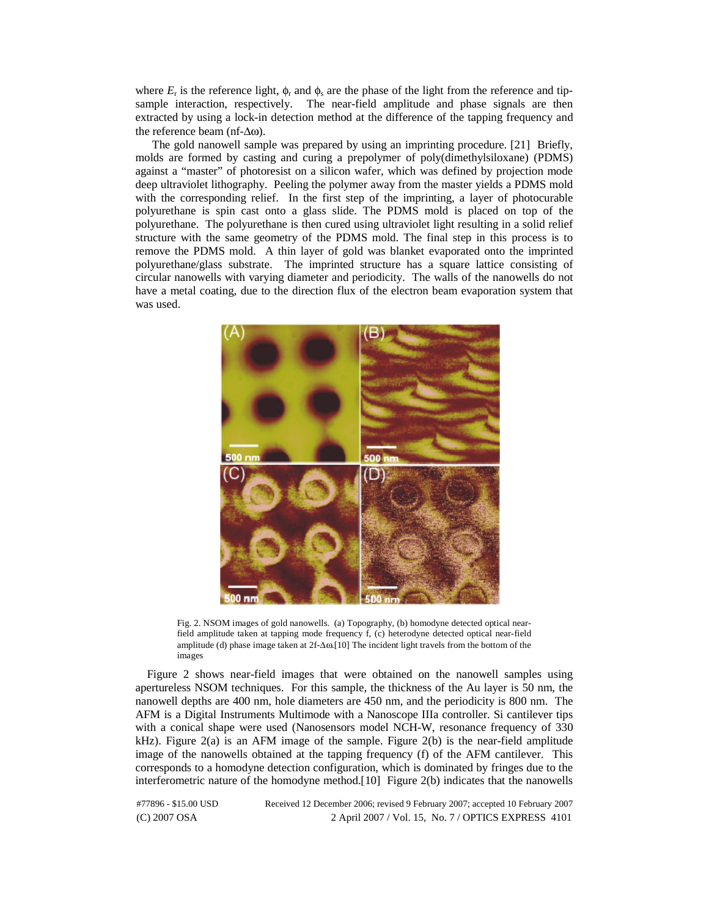where  $E_r$  is the reference light,  $\phi_r$  and  $\phi_s$  are the phase of the light from the reference and tipsample interaction, respectively. The near-field amplitude and phase signals are then extracted by using a lock-in detection method at the difference of the tapping frequency and the reference beam (nf-Δω).

The gold nanowell sample was prepared by using an imprinting procedure. [21] Briefly, molds are formed by casting and curing a prepolymer of poly(dimethylsiloxane) (PDMS) against a "master" of photoresist on a silicon wafer, which was defined by projection mode deep ultraviolet lithography. Peeling the polymer away from the master yields a PDMS mold with the corresponding relief. In the first step of the imprinting, a layer of photocurable polyurethane is spin cast onto a glass slide. The PDMS mold is placed on top of the polyurethane. The polyurethane is then cured using ultraviolet light resulting in a solid relief structure with the same geometry of the PDMS mold. The final step in this process is to remove the PDMS mold. A thin layer of gold was blanket evaporated onto the imprinted polyurethane/glass substrate. The imprinted structure has a square lattice consisting of circular nanowells with varying diameter and periodicity. The walls of the nanowells do not have a metal coating, due to the direction flux of the electron beam evaporation system that was used.



Fig. 2. NSOM images of gold nanowells. (a) Topography, (b) homodyne detected optical nearfield amplitude taken at tapping mode frequency f, (c) heterodyne detected optical near-field amplitude (d) phase image taken at 2f-Δω.[10] The incident light travels from the bottom of the images

Figure 2 shows near-field images that were obtained on the nanowell samples using apertureless NSOM techniques. For this sample, the thickness of the Au layer is 50 nm, the nanowell depths are 400 nm, hole diameters are 450 nm, and the periodicity is 800 nm. The AFM is a Digital Instruments Multimode with a Nanoscope IIIa controller. Si cantilever tips with a conical shape were used (Nanosensors model NCH-W, resonance frequency of 330  $kHz$ ). Figure 2(a) is an AFM image of the sample. Figure 2(b) is the near-field amplitude image of the nanowells obtained at the tapping frequency (f) of the AFM cantilever. This corresponds to a homodyne detection configuration, which is dominated by fringes due to the interferometric nature of the homodyne method.[10] Figure 2(b) indicates that the nanowells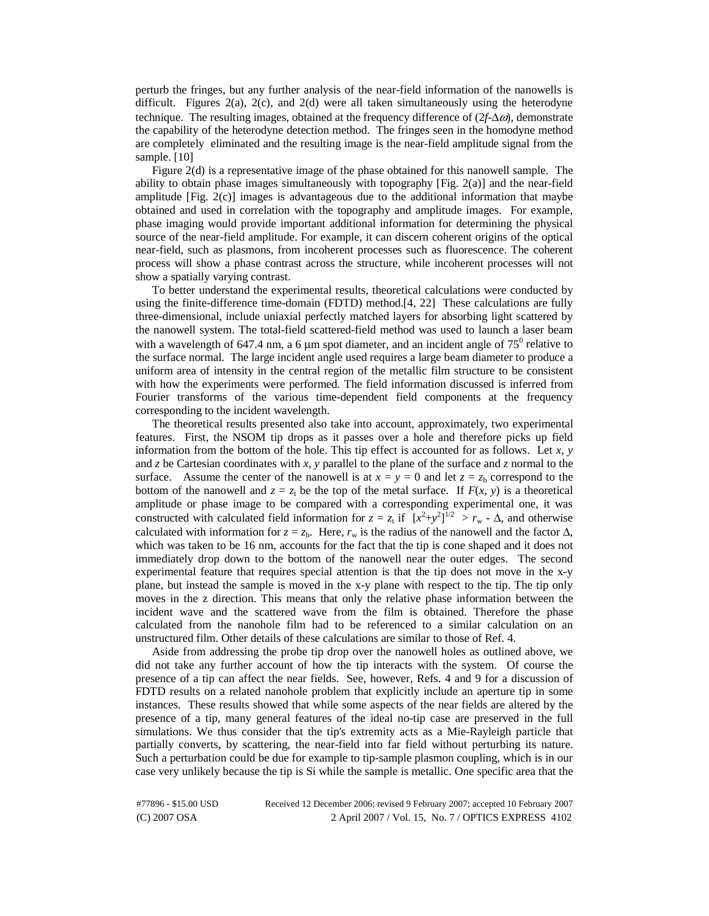perturb the fringes, but any further analysis of the near-field information of the nanowells is difficult. Figures 2(a), 2(c), and 2(d) were all taken simultaneously using the heterodyne technique. The resulting images, obtained at the frequency difference of (2*f*-Δω), demonstrate the capability of the heterodyne detection method. The fringes seen in the homodyne method are completely eliminated and the resulting image is the near-field amplitude signal from the sample. [10]

Figure 2(d) is a representative image of the phase obtained for this nanowell sample. The ability to obtain phase images simultaneously with topography [Fig. 2(a)] and the near-field amplitude [Fig.  $2(c)$ ] images is advantageous due to the additional information that maybe obtained and used in correlation with the topography and amplitude images. For example, phase imaging would provide important additional information for determining the physical source of the near-field amplitude. For example, it can discern coherent origins of the optical near-field, such as plasmons, from incoherent processes such as fluorescence. The coherent process will show a phase contrast across the structure, while incoherent processes will not show a spatially varying contrast.

To better understand the experimental results, theoretical calculations were conducted by using the finite-difference time-domain (FDTD) method.[4, 22] These calculations are fully three-dimensional, include uniaxial perfectly matched layers for absorbing light scattered by the nanowell system. The total-field scattered-field method was used to launch a laser beam with a wavelength of 647.4 nm, a 6  $\mu$ m spot diameter, and an incident angle of 75<sup>0</sup> relative to the surface normal. The large incident angle used requires a large beam diameter to produce a uniform area of intensity in the central region of the metallic film structure to be consistent with how the experiments were performed. The field information discussed is inferred from Fourier transforms of the various time-dependent field components at the frequency corresponding to the incident wavelength.

The theoretical results presented also take into account, approximately, two experimental features. First, the NSOM tip drops as it passes over a hole and therefore picks up field information from the bottom of the hole. This tip effect is accounted for as follows. Let *x*, *y* and  $z$  be Cartesian coordinates with  $x$ ,  $y$  parallel to the plane of the surface and  $z$  normal to the surface. Assume the center of the nanowell is at  $x = y = 0$  and let  $z = z<sub>b</sub>$  correspond to the bottom of the nanowell and  $z = z_t$  be the top of the metal surface. If  $F(x, y)$  is a theoretical amplitude or phase image to be compared with a corresponding experimental one, it was constructed with calculated field information for  $z = z_t$  if  $[x^2+y^2]^{1/2} > r_w - \Delta$ , and otherwise calculated with information for  $z = z_b$ . Here,  $r_w$  is the radius of the nanowell and the factor  $\Delta$ , which was taken to be 16 nm, accounts for the fact that the tip is cone shaped and it does not immediately drop down to the bottom of the nanowell near the outer edges. The second experimental feature that requires special attention is that the tip does not move in the x-y plane, but instead the sample is moved in the x-y plane with respect to the tip. The tip only moves in the z direction. This means that only the relative phase information between the incident wave and the scattered wave from the film is obtained. Therefore the phase calculated from the nanohole film had to be referenced to a similar calculation on an unstructured film. Other details of these calculations are similar to those of Ref. 4.

Aside from addressing the probe tip drop over the nanowell holes as outlined above, we did not take any further account of how the tip interacts with the system. Of course the presence of a tip can affect the near fields. See, however, Refs. 4 and 9 for a discussion of FDTD results on a related nanohole problem that explicitly include an aperture tip in some instances. These results showed that while some aspects of the near fields are altered by the presence of a tip, many general features of the ideal no-tip case are preserved in the full simulations. We thus consider that the tip's extremity acts as a Mie-Rayleigh particle that partially converts, by scattering, the near-field into far field without perturbing its nature. Such a perturbation could be due for example to tip-sample plasmon coupling, which is in our case very unlikely because the tip is Si while the sample is metallic. One specific area that the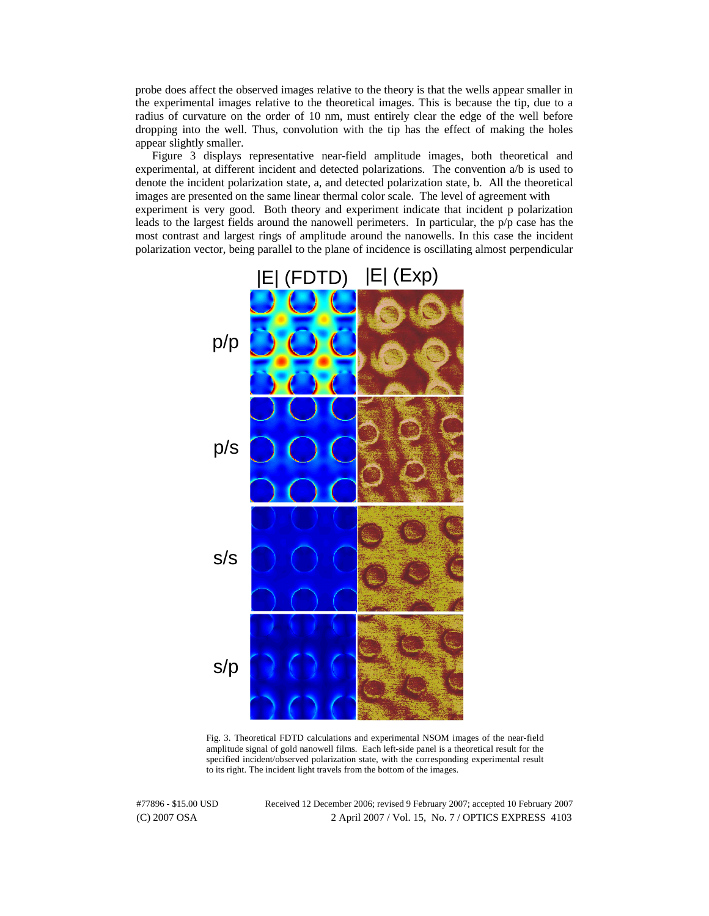probe does affect the observed images relative to the theory is that the wells appear smaller in the experimental images relative to the theoretical images. This is because the tip, due to a radius of curvature on the order of 10 nm, must entirely clear the edge of the well before dropping into the well. Thus, convolution with the tip has the effect of making the holes appear slightly smaller.

Figure 3 displays representative near-field amplitude images, both theoretical and experimental, at different incident and detected polarizations. The convention a/b is used to denote the incident polarization state, a, and detected polarization state, b. All the theoretical images are presented on the same linear thermal color scale. The level of agreement with experiment is very good. Both theory and experiment indicate that incident p polarization leads to the largest fields around the nanowell perimeters. In particular, the p/p case has the most contrast and largest rings of amplitude around the nanowells. In this case the incident polarization vector, being parallel to the plane of incidence is oscillating almost perpendicular



Fig. 3. Theoretical FDTD calculations and experimental NSOM images of the near-field amplitude signal of gold nanowell films. Each left-side panel is a theoretical result for the specified incident/observed polarization state, with the corresponding experimental result to its right. The incident light travels from the bottom of the images.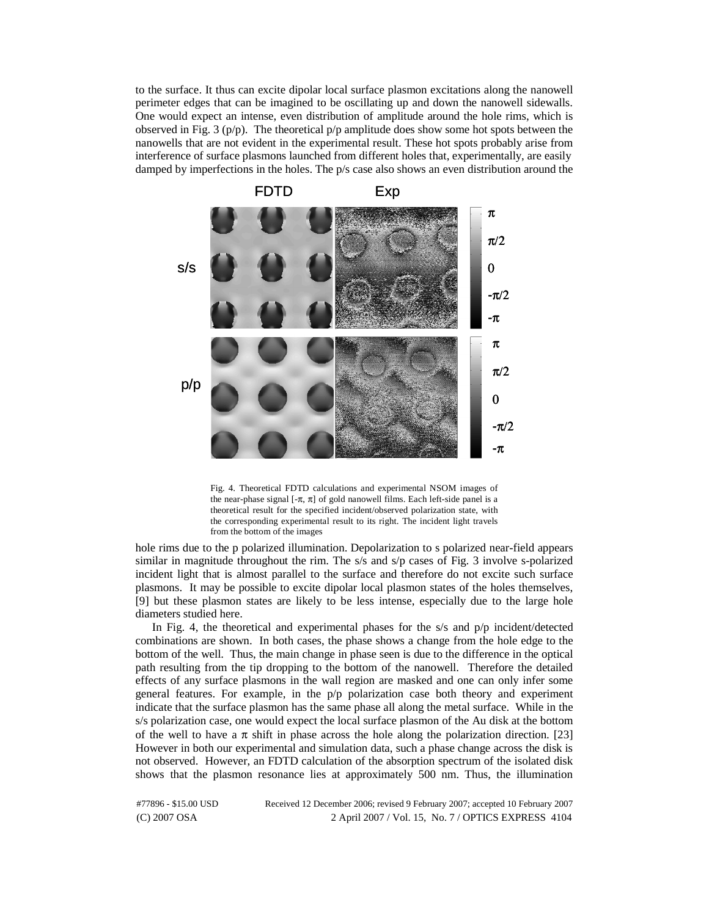to the surface. It thus can excite dipolar local surface plasmon excitations along the nanowell perimeter edges that can be imagined to be oscillating up and down the nanowell sidewalls. One would expect an intense, even distribution of amplitude around the hole rims, which is observed in Fig. 3 ( $p/p$ ). The theoretical  $p/p$  amplitude does show some hot spots between the nanowells that are not evident in the experimental result. These hot spots probably arise from interference of surface plasmons launched from different holes that, experimentally, are easily damped by imperfections in the holes. The p/s case also shows an even distribution around the



Fig. 4. Theoretical FDTD calculations and experimental NSOM images of the near-phase signal  $[-\pi, \pi]$  of gold nanowell films. Each left-side panel is a theoretical result for the specified incident/observed polarization state, with the corresponding experimental result to its right. The incident light travels from the bottom of the images

hole rims due to the p polarized illumination. Depolarization to s polarized near-field appears similar in magnitude throughout the rim. The s/s and s/p cases of Fig. 3 involve s-polarized incident light that is almost parallel to the surface and therefore do not excite such surface plasmons. It may be possible to excite dipolar local plasmon states of the holes themselves, [9] but these plasmon states are likely to be less intense, especially due to the large hole diameters studied here.

In Fig. 4, the theoretical and experimental phases for the  $s/s$  and  $p/p$  incident/detected combinations are shown. In both cases, the phase shows a change from the hole edge to the bottom of the well. Thus, the main change in phase seen is due to the difference in the optical path resulting from the tip dropping to the bottom of the nanowell. Therefore the detailed effects of any surface plasmons in the wall region are masked and one can only infer some general features. For example, in the  $p/p$  polarization case both theory and experiment indicate that the surface plasmon has the same phase all along the metal surface. While in the s/s polarization case, one would expect the local surface plasmon of the Au disk at the bottom of the well to have a  $\pi$  shift in phase across the hole along the polarization direction. [23] However in both our experimental and simulation data, such a phase change across the disk is not observed. However, an FDTD calculation of the absorption spectrum of the isolated disk shows that the plasmon resonance lies at approximately 500 nm. Thus, the illumination